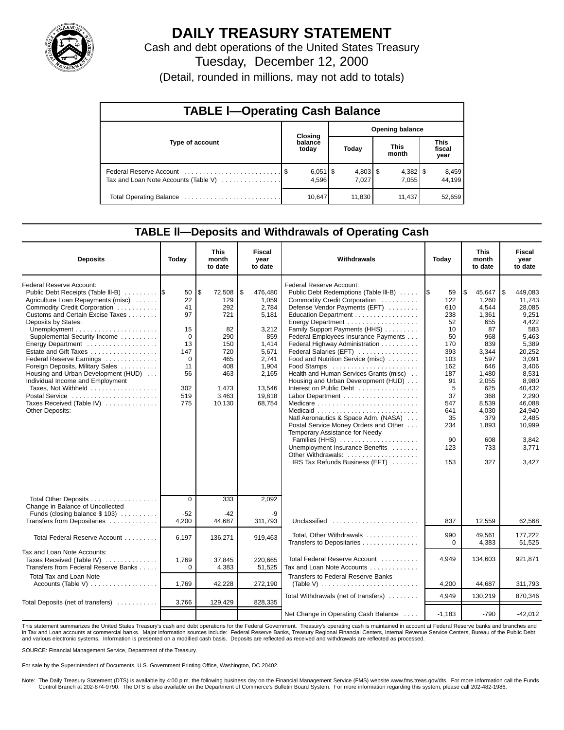

# **DAILY TREASURY STATEMENT**

Cash and debt operations of the United States Treasury Tuesday, December 12, 2000

(Detail, rounded in millions, may not add to totals)

| <b>TABLE I-Operating Cash Balance</b> |                  |                       |                        |                     |  |                      |                               |                 |  |  |
|---------------------------------------|------------------|-----------------------|------------------------|---------------------|--|----------------------|-------------------------------|-----------------|--|--|
|                                       |                  | Closing               | <b>Opening balance</b> |                     |  |                      |                               |                 |  |  |
| Type of account                       | balance<br>today |                       |                        | Today               |  | <b>This</b><br>month | <b>This</b><br>fiscal<br>year |                 |  |  |
| Tax and Loan Note Accounts (Table V)  |                  | $6,051$   \$<br>4,596 |                        | $4,803$ \$<br>7.027 |  | 7.055                |                               | 8,459<br>44.199 |  |  |
| Total Operating Balance               |                  | 10,647                |                        | 11,830              |  | 11.437               |                               | 52,659          |  |  |

### **TABLE ll—Deposits and Withdrawals of Operating Cash**

| <b>Deposits</b>                                                                                                                                                                                                                                                                                                                                                                                                                                                                                                   | Today                                                                              | This<br>month<br>to date                                                                                      | <b>Fiscal</b><br>year<br>to date                                                                                                    | Withdrawals                                                                                                                                                                                                                                                                                                                                                                                                                                                                                                                                                                                                                                                                                                           | Today                                                                                                                                        | This<br>month<br>to date                                                                                                                                                         |                                                                                                                                                                                                                  |
|-------------------------------------------------------------------------------------------------------------------------------------------------------------------------------------------------------------------------------------------------------------------------------------------------------------------------------------------------------------------------------------------------------------------------------------------------------------------------------------------------------------------|------------------------------------------------------------------------------------|---------------------------------------------------------------------------------------------------------------|-------------------------------------------------------------------------------------------------------------------------------------|-----------------------------------------------------------------------------------------------------------------------------------------------------------------------------------------------------------------------------------------------------------------------------------------------------------------------------------------------------------------------------------------------------------------------------------------------------------------------------------------------------------------------------------------------------------------------------------------------------------------------------------------------------------------------------------------------------------------------|----------------------------------------------------------------------------------------------------------------------------------------------|----------------------------------------------------------------------------------------------------------------------------------------------------------------------------------|------------------------------------------------------------------------------------------------------------------------------------------------------------------------------------------------------------------|
| Federal Reserve Account:<br>Public Debt Receipts (Table III-B)<br>Agriculture Loan Repayments (misc)<br>Commodity Credit Corporation<br>Customs and Certain Excise Taxes<br>Deposits by States:<br>Supplemental Security Income<br>Energy Department<br>Estate and Gift Taxes<br>Federal Reserve Earnings<br>Foreign Deposits, Military Sales<br>Housing and Urban Development (HUD)<br>Individual Income and Employment<br>Taxes, Not Withheld<br>Postal Service<br>Taxes Received (Table IV)<br>Other Deposits: | 50<br>22<br>41<br>97<br>15<br>0<br>13<br>147<br>0<br>11<br>56<br>302<br>519<br>775 | \$<br>72,508<br>129<br>292<br>721<br>82<br>290<br>150<br>720<br>465<br>408<br>463<br>1,473<br>3,463<br>10,130 | \$<br>476,480<br>1,059<br>2,784<br>5,181<br>3,212<br>859<br>1,414<br>5,671<br>2,741<br>1,904<br>2,165<br>13,546<br>19,818<br>68,754 | Federal Reserve Account:<br>Public Debt Redemptions (Table III-B)<br>Commodity Credit Corporation<br>Defense Vendor Payments (EFT)<br>Education Department<br>Energy Department<br>Family Support Payments (HHS)<br>Federal Employees Insurance Payments<br>Federal Highway Administration<br>Federal Salaries (EFT)<br>Food and Nutrition Service (misc)<br>Food Stamps<br>Health and Human Services Grants (misc)<br>Housing and Urban Development (HUD)<br>Interest on Public Debt<br>Natl Aeronautics & Space Adm. (NASA)<br>Postal Service Money Orders and Other<br>Temporary Assistance for Needy<br>Families (HHS)<br>Unemployment Insurance Benefits<br>Other Withdrawals:<br>IRS Tax Refunds Business (EFT) | 59<br>122<br>610<br>238<br>52<br>10<br>50<br>170<br>393<br>103<br>162<br>187<br>91<br>5<br>37<br>547<br>641<br>35<br>234<br>90<br>123<br>153 | \$<br>45,647<br>1.260<br>4.544<br>1,361<br>655<br>87<br>968<br>839<br>3,344<br>597<br>646<br>1,480<br>2,055<br>625<br>368<br>8,539<br>4,030<br>379<br>1,893<br>608<br>733<br>327 | 1\$<br>449,083<br>11,743<br>28,085<br>9,251<br>4,422<br>583<br>5,463<br>5,389<br>20,252<br>3,091<br>3,406<br>8,531<br>8,980<br>40,432<br>2,290<br>46.088<br>24,940<br>2,485<br>10,999<br>3,842<br>3,771<br>3,427 |
| Total Other Deposits<br>Change in Balance of Uncollected                                                                                                                                                                                                                                                                                                                                                                                                                                                          | $\overline{0}$                                                                     | 333                                                                                                           | 2,092                                                                                                                               |                                                                                                                                                                                                                                                                                                                                                                                                                                                                                                                                                                                                                                                                                                                       |                                                                                                                                              |                                                                                                                                                                                  |                                                                                                                                                                                                                  |
| Funds (closing balance \$103)<br>Transfers from Depositaries                                                                                                                                                                                                                                                                                                                                                                                                                                                      | $-52$<br>4,200                                                                     | -42<br>44,687                                                                                                 | -9<br>311,793                                                                                                                       | Unclassified                                                                                                                                                                                                                                                                                                                                                                                                                                                                                                                                                                                                                                                                                                          | 837                                                                                                                                          | 12,559                                                                                                                                                                           | 62,568                                                                                                                                                                                                           |
| Total Federal Reserve Account                                                                                                                                                                                                                                                                                                                                                                                                                                                                                     | 6,197                                                                              | 136,271                                                                                                       | 919,463                                                                                                                             | Total, Other Withdrawals<br>Transfers to Depositaries                                                                                                                                                                                                                                                                                                                                                                                                                                                                                                                                                                                                                                                                 | 990<br>$\Omega$                                                                                                                              | 49.561<br>4,383                                                                                                                                                                  | 177,222<br>51,525                                                                                                                                                                                                |
| Tax and Loan Note Accounts:<br>Taxes Received (Table IV)<br>Transfers from Federal Reserve Banks                                                                                                                                                                                                                                                                                                                                                                                                                  | 1,769<br>$\Omega$                                                                  | 37,845<br>4,383                                                                                               | 220.665<br>51,525                                                                                                                   | Total Federal Reserve Account<br>Tax and Loan Note Accounts                                                                                                                                                                                                                                                                                                                                                                                                                                                                                                                                                                                                                                                           | 4,949                                                                                                                                        | 134,603                                                                                                                                                                          | 921,871                                                                                                                                                                                                          |
| <b>Total Tax and Loan Note</b><br>Accounts (Table V)                                                                                                                                                                                                                                                                                                                                                                                                                                                              | 1,769                                                                              | 42,228                                                                                                        | 272,190                                                                                                                             | <b>Transfers to Federal Reserve Banks</b><br>(Table V) $\ldots \ldots \ldots \ldots \ldots \ldots \ldots \ldots$                                                                                                                                                                                                                                                                                                                                                                                                                                                                                                                                                                                                      | 4,200                                                                                                                                        | 44,687                                                                                                                                                                           | 311,793                                                                                                                                                                                                          |
| Total Deposits (net of transfers)                                                                                                                                                                                                                                                                                                                                                                                                                                                                                 | 3,766                                                                              | 129,429                                                                                                       | 828,335                                                                                                                             | Total Withdrawals (net of transfers)                                                                                                                                                                                                                                                                                                                                                                                                                                                                                                                                                                                                                                                                                  | 4,949                                                                                                                                        | 130,219                                                                                                                                                                          | 870,346                                                                                                                                                                                                          |
|                                                                                                                                                                                                                                                                                                                                                                                                                                                                                                                   |                                                                                    |                                                                                                               |                                                                                                                                     | Net Change in Operating Cash Balance                                                                                                                                                                                                                                                                                                                                                                                                                                                                                                                                                                                                                                                                                  | $-1.183$                                                                                                                                     | $-790$                                                                                                                                                                           | $-42,012$                                                                                                                                                                                                        |

This statement summarizes the United States Treasury's cash and debt operations for the Federal Government. Treasury's operating cash is maintained in account at Federal Reserve banks and branches and in Tax and Loan accounts at commercial banks. Major information sources include: Federal Reserve Banks, Treasury Regional Financial Centers, Internal Revenue Service Centers, Bureau of the Public Debt<br>and various electroni

SOURCE: Financial Management Service, Department of the Treasury.

For sale by the Superintendent of Documents, U.S. Government Printing Office, Washington, DC 20402.

Note: The Daily Treasury Statement (DTS) is available by 4:00 p.m. the following business day on the Financial Management Service (FMS) website www.fms.treas.gov/dts. For more information call the Funds Control Branch at 202-874-9790. The DTS is also available on the Department of Commerce's Bulletin Board System. For more information regarding this system, please call 202-482-1986.